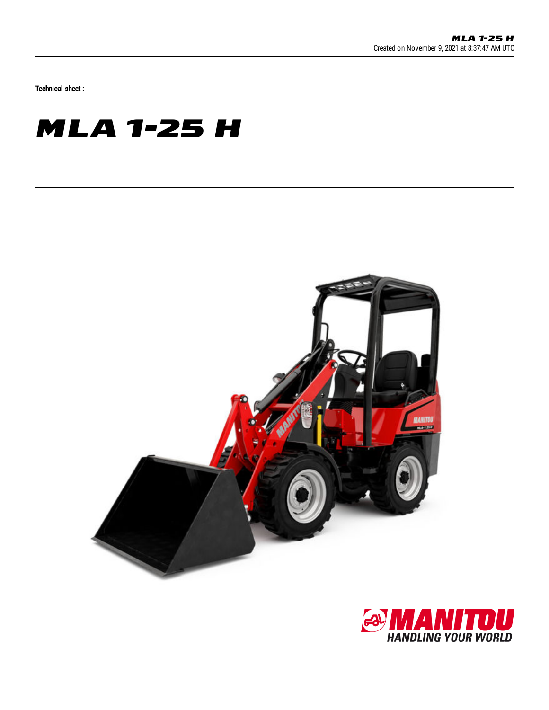Technical sheet :

## **MLA 1-25 H**



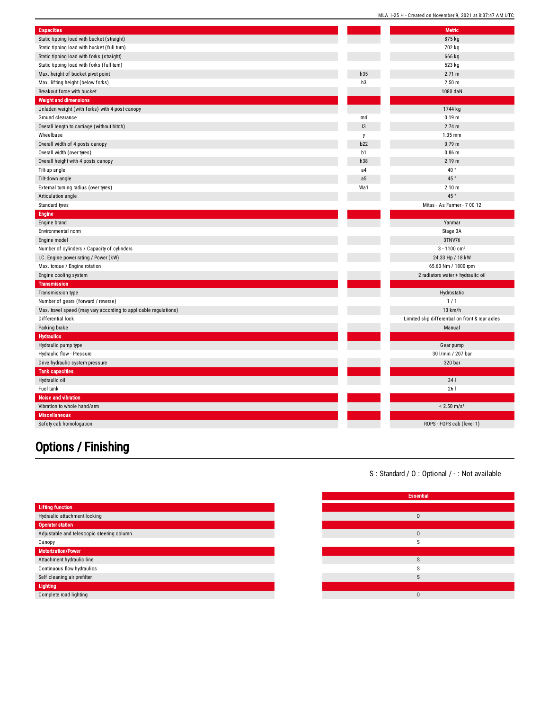| <b>Capacities</b>                                                |                | <b>Metric</b>                                   |  |
|------------------------------------------------------------------|----------------|-------------------------------------------------|--|
| Static tipping load with bucket (straight)                       |                | 875 kg                                          |  |
| Static tipping load with bucket (full turn)                      |                | 702 kg                                          |  |
| Static tipping load with forks (straight)                        |                | 666 kg                                          |  |
| Static tipping load with forks (full turn)                       |                | 523 kg                                          |  |
| Max. height of bucket pivot point                                | h35            | 2.71 m                                          |  |
| Max. lifting height (below forks)                                | h3             | 2.50 m                                          |  |
| Breakout force with bucket                                       |                | 1080 daN                                        |  |
| <b>Weight and dimensions</b>                                     |                |                                                 |  |
| Unladen weight (with forks) with 4-post canopy                   |                | 1744 kg                                         |  |
| Ground clearance                                                 | m4             | 0.19 <sub>m</sub>                               |  |
| Overall length to carriage (without hitch)                       | 13             | 2.74 m                                          |  |
| Wheelbase                                                        | y              | 1.35 mm                                         |  |
| Overall width of 4 posts canopy                                  | b22            | 0.79 m                                          |  |
| Overall width (over tyres)                                       | b <sub>1</sub> | 0.86 <sub>m</sub>                               |  |
| Overall height with 4 posts canopy                               | h38            | 2.19 m                                          |  |
| Tilt-up angle                                                    | a4             | 40 $^{\circ}$                                   |  |
| Tilt-down angle                                                  | a <sub>5</sub> | 45 $^{\circ}$                                   |  |
| External turning radius (over tyres)                             | Wa1            | 2.10 m                                          |  |
| Articulation angle                                               |                | 45°                                             |  |
| Standard tyres                                                   |                | Mitas - As Farmer - 7 00 12                     |  |
| <b>Engine</b>                                                    |                |                                                 |  |
| Engine brand                                                     |                | Yanmar                                          |  |
| Environmental norm                                               |                | Stage 3A                                        |  |
| Engine model                                                     |                | 3TNV76                                          |  |
| Number of cylinders / Capacity of cylinders                      |                | $3 - 1100$ cm <sup>3</sup>                      |  |
| I.C. Engine power rating / Power (kW)                            |                | 24.33 Hp / 18 kW                                |  |
| Max. torque / Engine rotation                                    |                | 65.60 Nm / 1800 rpm                             |  |
| Engine cooling system                                            |                | 2 radiators water + hydraulic oil               |  |
| <b>Transmission</b>                                              |                |                                                 |  |
| Transmission type                                                |                | Hydrostatic                                     |  |
| Number of gears (forward / reverse)                              |                | 1/1                                             |  |
| Max. travel speed (may vary according to applicable regulations) |                | $13$ km/h                                       |  |
| Differential lock                                                |                | Limited slip differential on front & rear axles |  |
| Parking brake                                                    |                | Manual                                          |  |
| <b>Hydraulics</b>                                                |                |                                                 |  |
| Hydraulic pump type                                              |                | Gear pump                                       |  |
| Hydraulic flow - Pressure                                        |                | 30 l/min / 207 bar                              |  |
| Drive hydraulic system pressure                                  |                | 320 bar                                         |  |
| <b>Tank capacities</b>                                           |                |                                                 |  |
| Hydraulic oil                                                    |                | 341                                             |  |
| Fuel tank                                                        |                | 261                                             |  |
| Noise and vibration                                              |                |                                                 |  |
| Vibration to whole hand/arm                                      |                | $< 2.50$ m/s <sup>2</sup>                       |  |
| <b>Miscellaneous</b>                                             |                |                                                 |  |
| Safety cab homologation                                          |                | ROPS - FOPS cab (level 1)                       |  |
|                                                                  |                |                                                 |  |

## Options / Finishing

| S: Standard / O: Optional / -: Not available |
|----------------------------------------------|
|----------------------------------------------|

MLA 1-25 H - Created on November 9, 2021 at 8:37:47 AM UTC

|                                           | <b>Essential</b> |
|-------------------------------------------|------------------|
| <b>Lifting function</b>                   |                  |
| Hydraulic attachment locking              | $\Omega$         |
| <b>Operator station</b>                   |                  |
| Adjustable and telescopic steering column | $\mathbf{0}$     |
| Canopy                                    | S                |
| <b>Motorization/Power</b>                 |                  |
| Attachment hydraulic line                 | S                |
| Continuous flow hydraulics                | $\sim$<br>`.     |
| Self cleaning air prefilter               | S                |
| Lighting                                  |                  |
| Complete road lighting                    | $\Omega$         |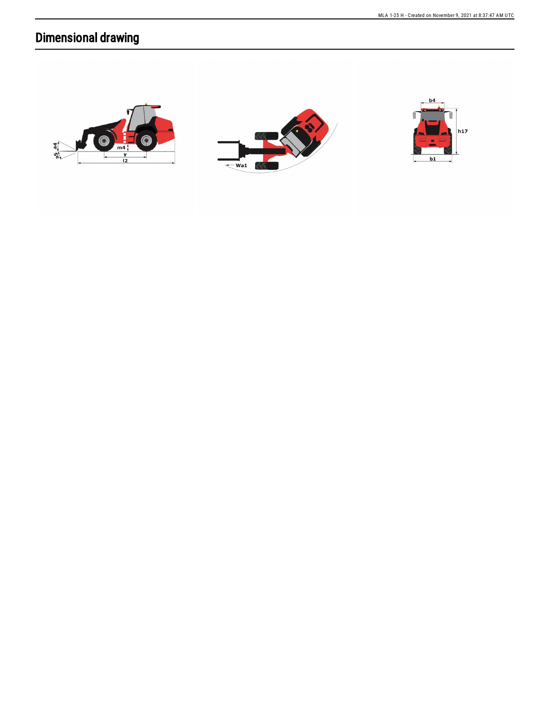## **Dimensional drawing**